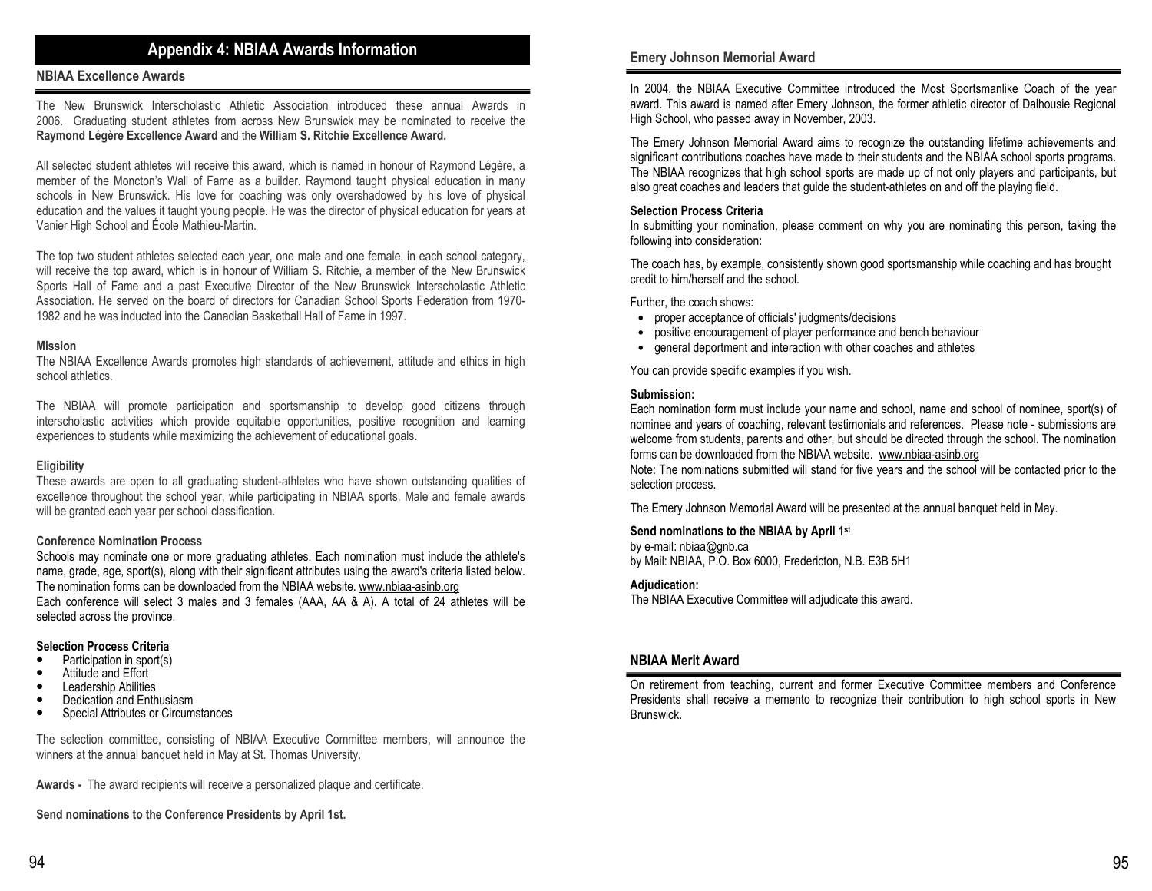# **Appendix 4: NBIAA Awards Information**

# **NBIAA Excellence Awards**

The New Brunswick Interscholastic Athletic Association introduced these annual Awards in 2006. Graduating student athletes from across New Brunswick may be nominated to receive the **Raymond Légère Excellence Award** and the **William S. Ritchie Excellence Award.** 

All selected student athletes will receive this award, which is named in honour of Raymond Légère, a member of the Moncton's Wall of Fame as a builder. Raymond taught physical education in many schools in New Brunswick. His love for coaching was only overshadowed by his love of physical education and the values it taught young people. He was the director of physical education for years at Vanier High School and École Mathieu-Martin.

The top two student athletes selected each year, one male and one female, in each school category, will receive the top award, which is in honour of William S. Ritchie, a member of the New Brunswick Sports Hall of Fame and a past Executive Director of the New Brunswick Interscholastic Athletic Association. He served on the board of directors for Canadian School Sports Federation from 1970-1982 and he was inducted into the Canadian Basketball Hall of Fame in 1997.

### **Mission**

 The NBIAA Excellence Awards promotes high standards of achievement, attitude and ethics in high school athletics.

The NBIAA will promote participation and sportsmanship to develop good citizens through interscholastic activities which provide equitable opportunities, positive recognition and learning experiences to students while maximizing the achievement of educational goals.

#### **Eligibility**

 These awards are open to all graduating student-athletes who have shown outstanding qualities of excellence throughout the school year, while participating in NBIAA sports. Male and female awards will be granted each year per school classification.

## **Conference Nomination Process**

 Schools may nominate one or more graduating athletes. Each nomination must include the athlete's name, grade, age, sport(s), along with their significant attributes using the award's criteria listed below. The nomination forms can be downloaded from the NBIAA website. www.nbiaa-asinb.org Each conference will select 3 males and 3 females (AAA, AA & A). A total of 24 athletes will be

selected across the province.

## **Selection Process Criteria**

- Participation in sport(s)
- Attitude and Effort
- Leadership Abilities
- Dedication and Enthusiasm
- Special Attributes or Circumstances

The selection committee, consisting of NBIAA Executive Committee members, will announce the winners at the annual banquet held in May at St. Thomas University.

**Awards -** The award recipients will receive a personalized plaque and certificate.

**Send nominations to the Conference Presidents by April 1st.**

# **Emery Johnson Memorial Award**

In 2004, the NBIAA Executive Committee introduced the Most Sportsmanlike Coach of the year award. This award is named after Emery Johnson, the former athletic director of Dalhousie Regional High School, who passed away in November, 2003.

The Emery Johnson Memorial Award aims to recognize the outstanding lifetime achievements and significant contributions coaches have made to their students and the NBIAA school sports programs. The NBIAA recognizes that high school sports are made up of not only players and participants, but also great coaches and leaders that guide the student-athletes on and off the playing field.

# **Selection Process Criteria**

 In submitting your nomination, please comment on why you are nominating this person, taking the following into consideration:

The coach has, by example, consistently shown good sportsmanship while coaching and has brought credit to him/herself and the school.

Further, the coach shows:

- proper acceptance of officials' judgments/decisions
- positive encouragement of player performance and bench behaviour
- general deportment and interaction with other coaches and athletes

You can provide specific examples if you wish.

#### **Submission:**

 Each nomination form must include your name and school, name and school of nominee, sport(s) of nominee and years of coaching, relevant testimonials and references. Please note - submissions are welcome from students, parents and other, but should be directed through the school. The nomination forms can be downloaded from the NBIAA website. www.nbiaa-asinb.org

 Note: The nominations submitted will stand for five years and the school will be contacted prior to the selection process.

The Emery Johnson Memorial Award will be presented at the annual banquet held in May.

#### **Send nominations to the NBIAA by April 1st**

by e-mail: nbiaa@gnb.ca by Mail: NBIAA, P.O. Box 6000, Fredericton, N.B. E3B 5H1

#### **Adjudication:**

The NBIAA Executive Committee will adjudicate this award.

# **NBIAA Merit Award**

On retirement from teaching, current and former Executive Committee members and Conference Presidents shall receive a memento to recognize their contribution to high school sports in New Brunswick.